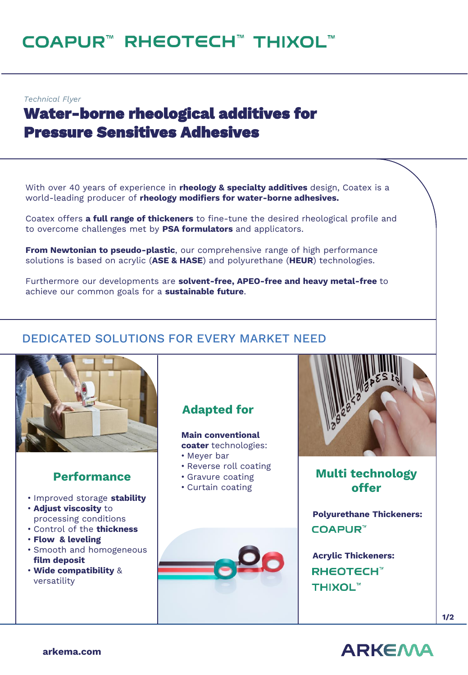# COAPUR™ RHEOTECH™ THIXOL™

*Technical Flyer*

# **Water-borne rheological additives for Pressure Sensitives Adhesives**

With over 40 years of experience in **rheology & specialty additives** design, Coatex is a world-leading producer of **rheology modifiers for water-borne adhesives.**

Coatex offers **a full range of thickeners** to fine-tune the desired rheological profile and to overcome challenges met by **PSA formulators** and applicators.

**From Newtonian to pseudo-plastic**, our comprehensive range of high performance solutions is based on acrylic (**ASE & HASE**) and polyurethane (**HEUR**) technologies.

Furthermore our developments are **solvent-free, APEO-free and heavy metal-free** to achieve our common goals for a **sustainable future**.

## DEDICATED SOLUTIONS FOR EVERY MARKET NEED



#### **Performance**

- Improved storage **stability**
- **Adjust viscosity** to processing conditions
- Control of the **thickness**
- **Flow & leveling**
- Smooth and homogeneous **film deposit**
- **Wide compatibility** & versatility

# **Adapted for**

**Main conventional coater** technologies:

- Meyer bar
- Reverse roll coating
- Gravure coating
- Curtain coating





**Multi technology offer**

**Polyurethane Thickeners: COAPUR™** 

**Acrylic Thickeners: RHEOTECH<sup>™</sup> THIXOL™**